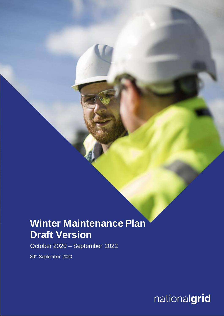# **Winter Maintenance Plan Draft Version**

October 2020 – September 2022

30th September 2020

**Nationalgrid**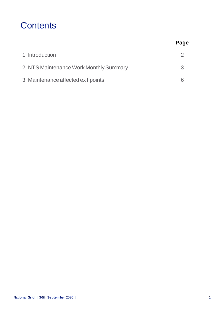## **Contents**

|                                         | Page |
|-----------------------------------------|------|
| 1. Introduction                         |      |
| 2. NTS Maintenance Work Monthly Summary | 3    |
| 3. Maintenance affected exit points     |      |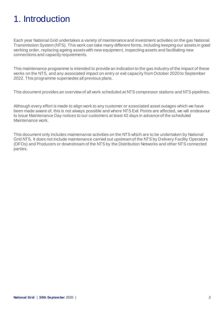# 1. Introduction

Each year National Grid undertakes a variety of maintenance and investment activities on the gas National Transmission System (NTS). This work can take many different forms, including keeping our assets in good working order, replacing ageing assets with new equipment, inspecting assets and facilitating new connections and capacity requirements.

This maintenance programme is intended to provide an indication to the gas industry of the impact of these works on the NTS, and any associated impact on entry or exit capacity from October 2020 to September 2022. This programme supersedes all previous plans.

This document provides an overview of all work scheduled at NTS compressor stations and NTS pipelines.

Although every effort is made to align work to any customer or associated asset outages which we have been made aware of, this is not always possible and where NTS Exit Points are affected, we will endeavour to issue Maintenance Day notices to our customers at least 42 days in advance of the scheduled Maintenance work.

This document only includes maintenance activities on the NTS which are to be undertaken by National Grid NTS. It does not include maintenance carried out upstream of the NTS by Delivery Facility Operators (DFOs) and Producers or downstream of the NTS by the Distribution Networks and other NTS connected parties.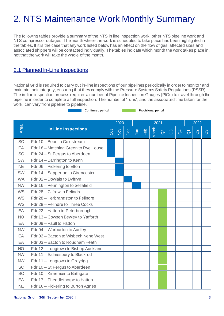# 2. NTS Maintenance Work Monthly Summary

The following tables provide a summary of the NTS in line inspection work, other NTS pipeline work and NTS compressor outages. The month where the work is scheduled to take place has been highlighted in the tables. If it is the case that any work listed belowhas an effect on the flow of gas, affected sites and associated shippers will be contacted individually. The tables indicate which month the work takes place in, not that the work will take the whole of the month.

## 2.1 Planned In-Line Inspections

National Grid is required to carry out in-line inspections of our pipelines periodically in order to monitor and maintain their integrity, ensuring that they comply with the Pressure Systems Safety Regulations (PSSR). The in-line inspection process requires a number of Pipeline Inspection Gauges (PIGs) to travel through the pipeline in order to complete a full inspection. The number of "runs", and the associated time taken for the work, can vary from pipeline to pipeline.

**Example 2** = Confirmed period  $\blacksquare$  = Provisional period

|           |                                      |     | 2020<br>2021 |     |     |     |       |          | 2022            |                |                   |          |                |
|-----------|--------------------------------------|-----|--------------|-----|-----|-----|-------|----------|-----------------|----------------|-------------------|----------|----------------|
| Area      | <b>In Line Inspections</b>           | Oct | $\geq$       | Dec | Jan | Feb | March | $\alpha$ | $\mathcal{C}^3$ | $\overline{d}$ | $\overline{\eth}$ | $\delta$ | $\overline{a}$ |
| <b>SC</b> | Fdr 10 - Boon to Coldstream          |     |              |     |     |     |       |          |                 |                |                   |          |                |
| EA        | Fdr 18 - Matching Green to Rye House |     |              |     |     |     |       |          |                 |                |                   |          |                |
| <b>SC</b> | Fdr 24 - St Fergus to Aberdeen       |     |              |     |     |     |       |          |                 |                |                   |          |                |
| SW        | Fdr 14 - Barrington to Kenn          |     |              |     |     |     |       |          |                 |                |                   |          |                |
| <b>NE</b> | Fdr 06 - Pickering to Elton          |     |              |     |     |     |       |          |                 |                |                   |          |                |
| <b>SW</b> | Fdr 14 - Sapperton to Cirencester    |     |              |     |     |     |       |          |                 |                |                   |          |                |
| <b>WA</b> | Fdr 02 - Dowlais to Dyffryn          |     |              |     |     |     |       |          |                 |                |                   |          |                |
| <b>NW</b> | Fdr 16 - Pennington to Sellafield    |     |              |     |     |     |       |          |                 |                |                   |          |                |
| <b>WS</b> | Fdr 28 - Cilfrew to Felindre         |     |              |     |     |     |       |          |                 |                |                   |          |                |
| <b>WS</b> | Fdr 28 - Herbrandston to Felindre    |     |              |     |     |     |       |          |                 |                |                   |          |                |
| <b>WS</b> | Fdr 28 - Felindre to Three Cocks     |     |              |     |     |     |       |          |                 |                |                   |          |                |
| EA        | Fdr 22 - Hatton to Peterborough      |     |              |     |     |     |       |          |                 |                |                   |          |                |
| <b>NO</b> | Fdr 13 - Cowpen Bewley to Yafforth   |     |              |     |     |     |       |          |                 |                |                   |          |                |
| EA        | Fdr 09 - Paull to Hatton             |     |              |     |     |     |       |          |                 |                |                   |          |                |
| <b>NW</b> | Fdr 04 - Warburton to Audley         |     |              |     |     |     |       |          |                 |                |                   |          |                |
| EA        | Fdr 02 - Bacton to Wisbech Nene West |     |              |     |     |     |       |          |                 |                |                   |          |                |
| EA        | Fdr 03 - Bacton to Roudham Heath     |     |              |     |     |     |       |          |                 |                |                   |          |                |
| <b>NO</b> | Fdr 12 - Longtown to Bishop Auckland |     |              |     |     |     |       |          |                 |                |                   |          |                |
| <b>NW</b> | Fdr 11 - Salmesbury to Blackrod      |     |              |     |     |     |       |          |                 |                |                   |          |                |
| <b>NW</b> | Fdr 11 - Longtown to Grayrigg        |     |              |     |     |     |       |          |                 |                |                   |          |                |
| <b>SC</b> | Fdr 10 - St Fergus to Aberdeen       |     |              |     |     |     |       |          |                 |                |                   |          |                |
| <b>SC</b> | Fdr 10 - Kirriemuir to Bathgate      |     |              |     |     |     |       |          |                 |                |                   |          |                |
| EA        | Fdr 17 - Theddlethorpe to Hatton     |     |              |     |     |     |       |          |                 |                |                   |          |                |
| <b>NE</b> | Fdr 16 - Pickering to Burton Agnes   |     |              |     |     |     |       |          |                 |                |                   |          |                |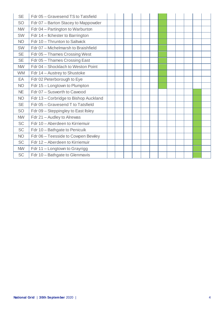| <b>SE</b> | Fdr 05 - Gravesend TS to Tatsfield    |  |  |  |  |  |  |
|-----------|---------------------------------------|--|--|--|--|--|--|
| <b>SO</b> | Fdr 07 - Barton Stacey to Mappowder   |  |  |  |  |  |  |
| <b>NW</b> | Fdr 04 - Partington to Warburton      |  |  |  |  |  |  |
| <b>SW</b> | Fdr 14 – Ilchester to Barrington      |  |  |  |  |  |  |
| <b>NO</b> | Fdr 10 - Thrunton to Saltwick         |  |  |  |  |  |  |
| <b>SW</b> | Fdr 07 - Michelmarsh to Braishfield   |  |  |  |  |  |  |
| <b>SE</b> | Fdr 05 - Thames Crossing West         |  |  |  |  |  |  |
| <b>SE</b> | Fdr 05 - Thames Crossing East         |  |  |  |  |  |  |
| <b>NW</b> | Fdr 04 - Shocklach to Weston Point    |  |  |  |  |  |  |
| <b>WM</b> | Fdr 14 – Austrey to Shustoke          |  |  |  |  |  |  |
| EA        | Fdr 02 Peterborough to Eye            |  |  |  |  |  |  |
| <b>NO</b> | Fdr 15 - Longtown to Plumpton         |  |  |  |  |  |  |
| <b>NE</b> | Fdr 07 - Susworth to Cawood           |  |  |  |  |  |  |
| <b>NO</b> | Fdr 13 - Corbridge to Bishop Auckland |  |  |  |  |  |  |
| <b>SE</b> | Fdr 05 - Gravesend T to Tatsfield     |  |  |  |  |  |  |
| SO        | Fdr 09 - Steppingley to East IIsley   |  |  |  |  |  |  |
| <b>NW</b> | Fdr 21 - Audley to Alrewas            |  |  |  |  |  |  |
| <b>SC</b> | Fdr 10 - Aberdeen to Kirriemuir       |  |  |  |  |  |  |
| <b>SC</b> | Fdr 10 - Bathgate to Penicuik         |  |  |  |  |  |  |
| <b>NO</b> | Fdr 06 - Teesside to Cowpen Bewley    |  |  |  |  |  |  |
| <b>SC</b> | Fdr 12 - Aberdeen to Kirriemuir       |  |  |  |  |  |  |
| <b>NW</b> | Fdr 11 - Longtown to Grayrigg         |  |  |  |  |  |  |
| <b>SC</b> | Fdr 10 - Bathgate to Glenmavis        |  |  |  |  |  |  |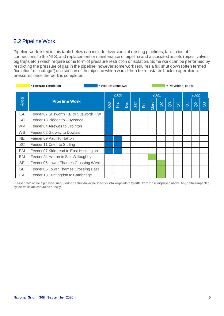## 2.2 Pipeline Work

Pipeline work listed in this table below can include diversions of existing pipelines, facilitation of connections to the NTS, and replacement or maintenance of pipeline and associated assets (pipes, valves, pig traps etc.) which require some form of pressure restriction or isolation. Some work can be performed by restricting the pressure of gas in the pipeline; however some work requires a full shut down (often termed "isolation" or "outage") of a section of the pipeline which would then be reinstated back to operational pressures once the work is completed.

|           | $=$ Pressure Restriction               | = Pipeline Shutdown |               |     | = Provisional period |     |       |          |                |                |                   |          |                |
|-----------|----------------------------------------|---------------------|---------------|-----|----------------------|-----|-------|----------|----------------|----------------|-------------------|----------|----------------|
|           |                                        |                     | 2020          |     |                      |     |       | 2021     |                |                |                   | 2022     |                |
| Area      | <b>Pipeline Work</b>                   | Oct                 | $\frac{5}{2}$ | Dec | Jan                  | Feb | March | $\alpha$ | $\overline{a}$ | $\overline{d}$ | $\overline{\eth}$ | $\alpha$ | $\mathbb{S}^3$ |
| EA        | Feeder 07 Susworth T.E to Susworth T.W |                     |               |     |                      |     |       |          |                |                |                   |          |                |
| <b>SC</b> | Feeder 13 Pigdon to Guyzance           |                     |               |     |                      |     |       |          |                |                |                   |          |                |
| <b>WM</b> | Feeder 04 Alrewas to Drointon          |                     |               |     |                      |     |       |          |                |                |                   |          |                |
| WS        | Feeder 02 Garway to Dowlais            |                     |               |     |                      |     |       |          |                |                |                   |          |                |
| <b>NE</b> | Feeder 09 Paull to Hatton              |                     |               |     |                      |     |       |          |                |                |                   |          |                |
| <b>SC</b> | Feeder 11 Crieff to Sitrling           |                     |               |     |                      |     |       |          |                |                |                   |          |                |
| EM        | Feeder 07 Kirkstead to East Heckington |                     |               |     |                      |     |       |          |                |                |                   |          |                |
| EM        | Feeder 24 Hatton to Silk Willoughby    |                     |               |     |                      |     |       |          |                |                |                   |          |                |
| <b>SE</b> | Feeder 05 Lower Thames Crossing West   |                     |               |     |                      |     |       |          |                |                |                   |          |                |
| <b>SE</b> | Feeder 05 Lower Thames Crossing East   |                     |               |     |                      |     |       |          |                |                |                   |          |                |
| EA        | Feeder 18 Huntingdon to Cambridge      |                     |               |     |                      |     |       |          |                |                |                   |          |                |

Please note: where a pipeline is required to be shut down the specific isolation points may differ from those displayed above. Any parties impacted by the works are contacted directly.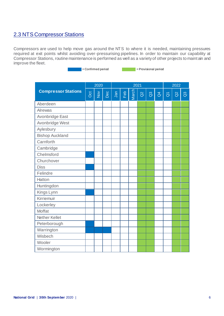### 2.3 NTS Compressor Stations

Compressors are used to help move gas around the NTS to where it is needed, maintaining pressures required at exit points whilst avoiding over-pressurising pipelines. In order to maintain our capability at Compressor Stations, routine maintenance is performed as well as a variety of other projects to maintain and improve the fleet.

= Confirmed period = Provisional period

|                            |            | 2020                  |     |     |     |       | 2022     |              |                |                     |          |                |
|----------------------------|------------|-----------------------|-----|-----|-----|-------|----------|--------------|----------------|---------------------|----------|----------------|
| <b>Compressor Stations</b> | <b>Oct</b> | $\sum_{i=1}^{\infty}$ | Dec | Jan | Feb | March | $\alpha$ | $\mathbb{S}$ | $\overline{d}$ | $\overline{\delta}$ | $\alpha$ | $\mathbb{S}^3$ |
| Aberdeen                   |            |                       |     |     |     |       |          |              |                |                     |          |                |
| <b>Alrewas</b>             |            |                       |     |     |     |       |          |              |                |                     |          |                |
| Avonbridge East            |            |                       |     |     |     |       |          |              |                |                     |          |                |
| Avonbridge West            |            |                       |     |     |     |       |          |              |                |                     |          |                |
| Aylesbury                  |            |                       |     |     |     |       |          |              |                |                     |          |                |
| <b>Bishop Auckland</b>     |            |                       |     |     |     |       |          |              |                |                     |          |                |
| Carnforth                  |            |                       |     |     |     |       |          |              |                |                     |          |                |
| Cambridge                  |            |                       |     |     |     |       |          |              |                |                     |          |                |
| Chelmsford                 |            |                       |     |     |     |       |          |              |                |                     |          |                |
| Churchover                 |            |                       |     |     |     |       |          |              |                |                     |          |                |
| <b>Diss</b>                |            |                       |     |     |     |       |          |              |                |                     |          |                |
| Felindre                   |            |                       |     |     |     |       |          |              |                |                     |          |                |
| Hatton                     |            |                       |     |     |     |       |          |              |                |                     |          |                |
| Huntingdon                 |            |                       |     |     |     |       |          |              |                |                     |          |                |
| Kings Lynn                 |            |                       |     |     |     |       |          |              |                |                     |          |                |
| Kirriemuir                 |            |                       |     |     |     |       |          |              |                |                     |          |                |
| Lockerley                  |            |                       |     |     |     |       |          |              |                |                     |          |                |
| Moffat                     |            |                       |     |     |     |       |          |              |                |                     |          |                |
| <b>Nether Kellet</b>       |            |                       |     |     |     |       |          |              |                |                     |          |                |
| Peterborough               |            |                       |     |     |     |       |          |              |                |                     |          |                |
| Warrington                 |            |                       |     |     |     |       |          |              |                |                     |          |                |
| Wisbech                    |            |                       |     |     |     |       |          |              |                |                     |          |                |
| Wooler                     |            |                       |     |     |     |       |          |              |                |                     |          |                |
| Wormington                 |            |                       |     |     |     |       |          |              |                |                     |          |                |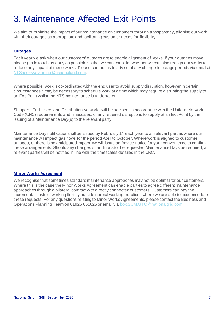## 3. Maintenance Affected Exit Points

We aim to minimise the impact of our maintenance on customers through transparency, aligning our work with their outages as appropriate and facilitating customer needs for flexibility.

#### **Outages**

Each year we ask when our customers' outages are to enable alignment of works. If your outages move, please get in touch as early as possible so that we can consider whether we can also realign our works to reduce any impact of these works. Please contact us to advise of any change to outage periods via email at [NTSaccessplanning@nationalgrid.com](mailto:NTSaccessplanning@nationalgrid.com).

Where possible, work is co-ordinated with the end user to avoid supply disruption, however in certain circumstances it may be necessary to schedule work at a time which may require disrupting the supply to an Exit Point whilst the NTS maintenance is undertaken.

Shippers, End-Users and Distribution Networks will be advised, in accordance with the Uniform Network Code (UNC) requirements and timescales, of any required disruptions to supply at an Exit Point by the issuing of a Maintenance Day(s) to the relevant party.

Maintenance Day notifications will be issued by February 1<sup>st</sup> each year to all relevant parties where our maintenance will impact gas flows for the period April to October. Where work is aligned to customer outages, or there is no anticipated impact, we will issue an Advice notice for your convenience to confirm these arrangements. Should any changes or additions to the requested Maintenance Days be required, all relevant parties will be notified in line with the timescales detailed in the UNC.

#### **Minor Works Agreement**

We recognise that sometimes standard maintenance approaches may not be optimal for our customers. Where this is the case the Minor Works Agreement can enable parties to agree different maintenance approaches through a bilateral contract with directly connected customers. Customers can pay the incremental costs of working flexibly outside normal working practices where we are able to accommodate these requests. For any questions relating to Minor Works Agreements, please contact the Business and Operations Planning Team on 01926 655625 or email via [box.SCM.GTO@nationalgrid.com](mailto:box.SCM.GTO@nationalgrid.com).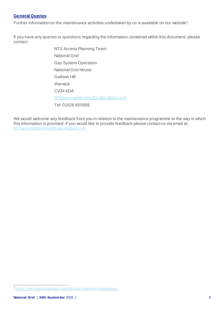#### **General Queries**

Further information on the maintenance activities undertaken by us is available on our website<sup>1</sup>.

If you have any queries or questions regarding the information contained within this document, please contact:

> NTS Access Planning Team National Grid Gas System Operation National Grid House Gallows Hill Warwick CV34 6DA [NTSaccessplanning@nationalgrid.com](mailto:NTSaccessplanning@nationalgrid.com) Tel: 01926 655958

We would welcome any feedback from you in relation to the maintenance programme or the way in which this information is provided. If you would like to provide feedback please contact us via email at: [NTSaccessplanning@nationalgrid.com](mailto:NTSaccessplanning@nationalgrid.com)

 1 <https://www.nationalgridgas.com/data-and-operations/maintenance>